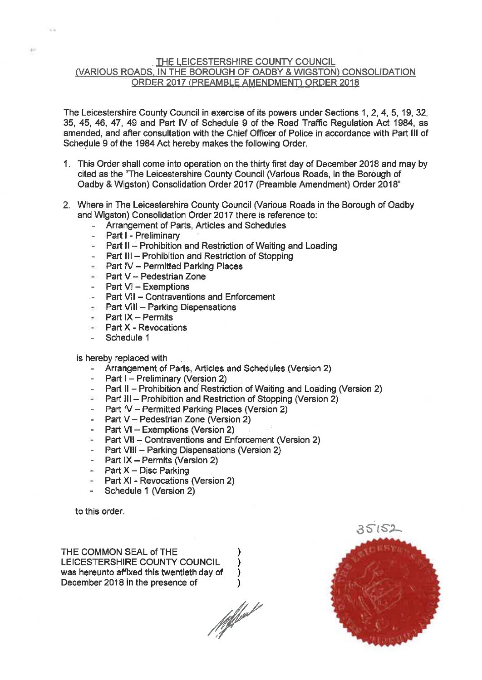#### THE LEICESTERSHIRE COUNTY COUNCIL (VARIOUS ROADS, IN THE BOROUGH OF OADBY & WIGSTON) CONSOLIDATION ORDER 2017 (PREAMBLE AMENDMENT) ORDER 2018

The Leicestershire County Council in exercise of its powers under Sections 1, 2, 4, 5, 19, 32, 35, 45, 46, 47, 49 and Part IV of Schedule 9 of the Road Traffic Regulation Act 1984, as amended, and after consultation with the Chief Officer of Police in accordance with Part III of Schedule 9 of the 1984 Act hereby makes the following Order.

- 1. This Order shall come into operation on the thirty first day of December 2018 and may by cited as the "The Leicestershire County Council (Various Roads, in the Borough of Oadby & Wigston) Consolidation Order 2017 (Preamble Amendment) Order 2018"
- 2. Where in The Leicestershire County Council (Various Roads in the Borough of Oadby and Wigston) Consolidation Order 2017 there is reference to:
	- Arrangement of Parts, Articles and Schedules
	- Part I Preliminary
	- Part II Prohibition and Restriction of Waiting and Loading
	- Part III Prohibition and Restriction of Stopping
	- Part IV Permitted Parking Places
	- Part  $V -$  Pedestrian Zone
	- Part VI Exemptions
	- Part VII Contraventions and Enforcement
	- $\blacksquare$  Part VIII Parking Dispensations
	- $\rightarrow$  Part IX Permits
	- Part X Revocations
	- Schedule 1

#### is hereby replaced with

- Arrangement of Parts, Articles and Schedules (Version 2)
- Part i Preliminary (Version 2)
- Part II Prohibition and Restriction of Waiting and Loading (Version 2)
- $\blacksquare$  Part III Prohibition and Restriction of Stopping (Version 2)
- Part IV Permitted Parking Places (Version 2)
- Part V Pedestrian Zone (Version 2)
- Part VI Exemptions (Version 2)
- Part VII Contraventions and Enforcement (Version 2)
- Part VIII Parking Dispensations (Version 2)
- Part IX Permits (Version 2)
- Part  $X Disc$  Parking
- Part XI Revocations (Version 2)
- Schedule 1 (Version 2)

to this order.

THE COMMON SEAL of THE LEICESTERSHIRE COUNTY COUNCIL was hereunto affixed this twentieth day of December 2018 in the presence of

11 pl pl pl pl

)

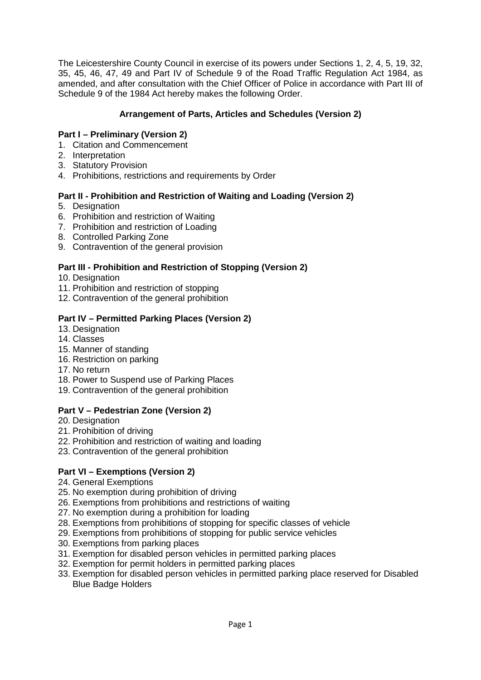The Leicestershire County Council in exercise of its powers under Sections 1, 2, 4, 5, 19, 32, 35, 45, 46, 47, 49 and Part IV of Schedule 9 of the Road Traffic Regulation Act 1984, as amended, and after consultation with the Chief Officer of Police in accordance with Part III of Schedule 9 of the 1984 Act hereby makes the following Order.

# **Arrangement of Parts, Articles and Schedules (Version 2)**

# **Part I – Preliminary (Version 2)**

- 1. Citation and Commencement
- 2. Interpretation
- 3. Statutory Provision
- 4. Prohibitions, restrictions and requirements by Order

## **Part II - Prohibition and Restriction of Waiting and Loading (Version 2)**

- 5. Designation
- 6. Prohibition and restriction of Waiting
- 7. Prohibition and restriction of Loading
- 8. Controlled Parking Zone
- 9. Contravention of the general provision

## **Part III - Prohibition and Restriction of Stopping (Version 2)**

- 10. Designation
- 11. Prohibition and restriction of stopping
- 12. Contravention of the general prohibition

## **Part IV – Permitted Parking Places (Version 2)**

- 13. Designation
- 14. Classes
- 15. Manner of standing
- 16. Restriction on parking
- 17. No return
- 18. Power to Suspend use of Parking Places
- 19. Contravention of the general prohibition

# **Part V – Pedestrian Zone (Version 2)**

- 20. Designation
- 21. Prohibition of driving
- 22. Prohibition and restriction of waiting and loading
- 23. Contravention of the general prohibition

# **Part VI – Exemptions (Version 2)**

- 24. General Exemptions
- 25. No exemption during prohibition of driving
- 26. Exemptions from prohibitions and restrictions of waiting
- 27. No exemption during a prohibition for loading
- 28. Exemptions from prohibitions of stopping for specific classes of vehicle
- 29. Exemptions from prohibitions of stopping for public service vehicles
- 30. Exemptions from parking places
- 31. Exemption for disabled person vehicles in permitted parking places
- 32. Exemption for permit holders in permitted parking places
- 33. Exemption for disabled person vehicles in permitted parking place reserved for Disabled Blue Badge Holders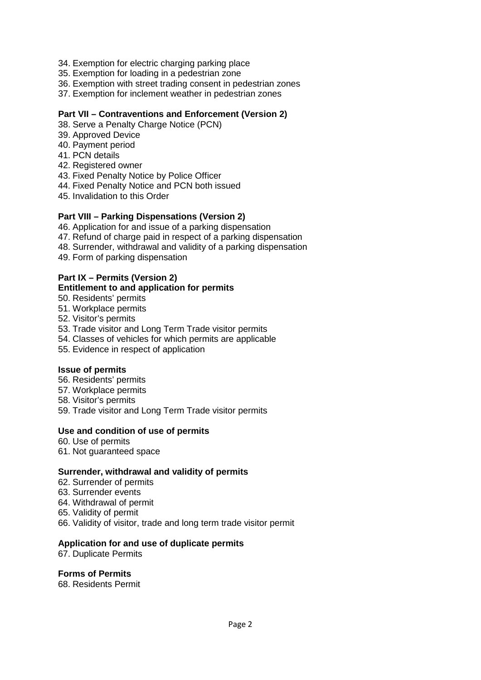- 34. Exemption for electric charging parking place
- 35. Exemption for loading in a pedestrian zone
- 36. Exemption with street trading consent in pedestrian zones
- 37. Exemption for inclement weather in pedestrian zones

#### **Part VII – Contraventions and Enforcement (Version 2)**

- 38. Serve a Penalty Charge Notice (PCN)
- 39. Approved Device
- 40. Payment period
- 41. PCN details
- 42. Registered owner
- 43. Fixed Penalty Notice by Police Officer
- 44. Fixed Penalty Notice and PCN both issued
- 45. Invalidation to this Order

#### **Part VIII – Parking Dispensations (Version 2)**

- 46. Application for and issue of a parking dispensation
- 47. Refund of charge paid in respect of a parking dispensation
- 48. Surrender, withdrawal and validity of a parking dispensation
- 49. Form of parking dispensation

#### **Part IX – Permits (Version 2)**

#### **Entitlement to and application for permits**

- 50. Residents' permits
- 51. Workplace permits
- 52. Visitor's permits
- 53. Trade visitor and Long Term Trade visitor permits
- 54. Classes of vehicles for which permits are applicable
- 55. Evidence in respect of application

#### **Issue of permits**

- 56. Residents' permits
- 57. Workplace permits
- 58. Visitor's permits
- 59. Trade visitor and Long Term Trade visitor permits

#### **Use and condition of use of permits**

- 60. Use of permits
- 61. Not guaranteed space

#### **Surrender, withdrawal and validity of permits**

- 62. Surrender of permits
- 63. Surrender events
- 64. Withdrawal of permit
- 65. Validity of permit
- 66. Validity of visitor, trade and long term trade visitor permit

#### **Application for and use of duplicate permits**

67. Duplicate Permits

#### **Forms of Permits**

68. Residents Permit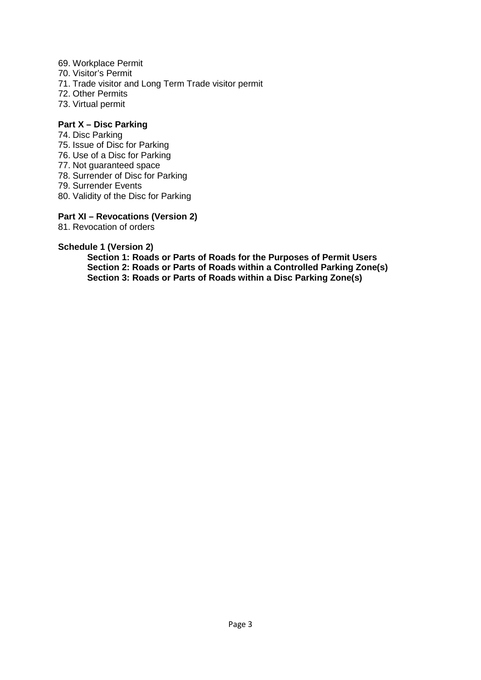- 69. Workplace Permit
- 70. Visitor's Permit
- 71. Trade visitor and Long Term Trade visitor permit
- 72. Other Permits
- 73. Virtual permit

#### **Part X – Disc Parking**

- 74. Disc Parking
- 75. Issue of Disc for Parking
- 76. Use of a Disc for Parking
- 77. Not guaranteed space
- 78. Surrender of Disc for Parking
- 79. Surrender Events
- 80. Validity of the Disc for Parking

#### **Part XI – Revocations (Version 2)**

81. Revocation of orders

#### **Schedule 1 (Version 2)**

**Section 1: Roads or Parts of Roads for the Purposes of Permit Users Section 2: Roads or Parts of Roads within a Controlled Parking Zone(s) Section 3: Roads or Parts of Roads within a Disc Parking Zone(s)**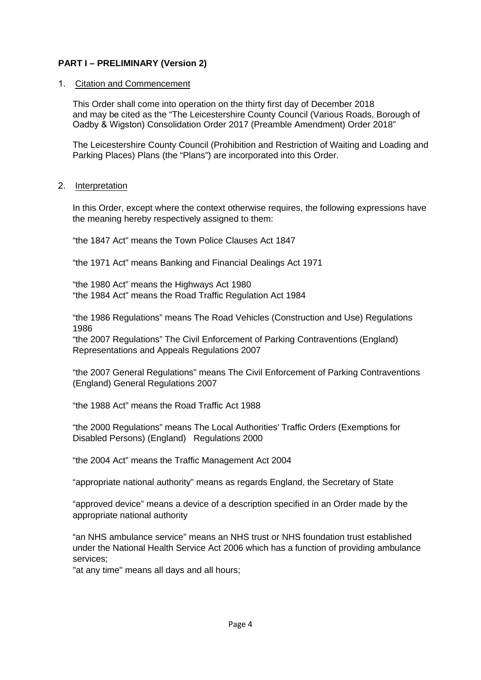# **PART I – PRELIMINARY (Version 2)**

#### 1. Citation and Commencement

This Order shall come into operation on the thirty first day of December 2018 and may be cited as the "The Leicestershire County Council (Various Roads, Borough of Oadby & Wigston) Consolidation Order 2017 (Preamble Amendment) Order 2018"

The Leicestershire County Council (Prohibition and Restriction of Waiting and Loading and Parking Places) Plans (the "Plans") are incorporated into this Order.

#### 2. Interpretation

In this Order, except where the context otherwise requires, the following expressions have the meaning hereby respectively assigned to them:

"the 1847 Act" means the Town Police Clauses Act 1847

"the 1971 Act" means Banking and Financial Dealings Act 1971

"the 1980 Act" means the Highways Act 1980 "the 1984 Act" means the Road Traffic Regulation Act 1984

"the 1986 Regulations" means The Road Vehicles (Construction and Use) Regulations 1986

"the 2007 Regulations" The Civil Enforcement of Parking Contraventions (England) Representations and Appeals Regulations 2007

"the 2007 General Regulations" means The Civil Enforcement of Parking Contraventions (England) General Regulations 2007

"the 1988 Act" means the Road Traffic Act 1988

"the 2000 Regulations" means The Local Authorities' Traffic Orders (Exemptions for Disabled Persons) (England) Regulations 2000

"the 2004 Act" means the Traffic Management Act 2004

"appropriate national authority" means as regards England, the Secretary of State

"approved device" means a device of a description specified in an Order made by the appropriate national authority

"an NHS ambulance service" means an NHS trust or NHS foundation trust established under the National Health Service Act 2006 which has a function of providing ambulance services;

"at any time" means all days and all hours;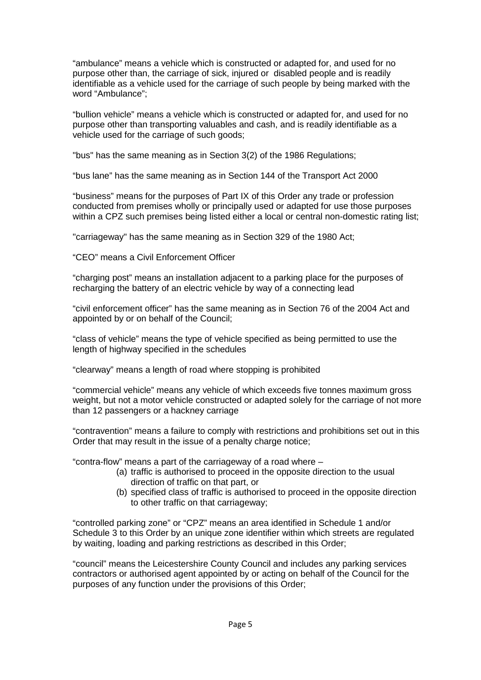"ambulance" means a vehicle which is constructed or adapted for, and used for no purpose other than, the carriage of sick, injured or disabled people and is readily identifiable as a vehicle used for the carriage of such people by being marked with the word "Ambulance";

"bullion vehicle" means a vehicle which is constructed or adapted for, and used for no purpose other than transporting valuables and cash, and is readily identifiable as a vehicle used for the carriage of such goods;

"bus" has the same meaning as in Section 3(2) of the 1986 Regulations;

"bus lane" has the same meaning as in Section 144 of the Transport Act 2000

"business" means for the purposes of Part IX of this Order any trade or profession conducted from premises wholly or principally used or adapted for use those purposes within a CPZ such premises being listed either a local or central non-domestic rating list;

"carriageway" has the same meaning as in Section 329 of the 1980 Act;

"CEO" means a Civil Enforcement Officer

"charging post" means an installation adjacent to a parking place for the purposes of recharging the battery of an electric vehicle by way of a connecting lead

"civil enforcement officer" has the same meaning as in Section 76 of the 2004 Act and appointed by or on behalf of the Council;

"class of vehicle" means the type of vehicle specified as being permitted to use the length of highway specified in the schedules

"clearway" means a length of road where stopping is prohibited

"commercial vehicle" means any vehicle of which exceeds five tonnes maximum gross weight, but not a motor vehicle constructed or adapted solely for the carriage of not more than 12 passengers or a hackney carriage

"contravention" means a failure to comply with restrictions and prohibitions set out in this Order that may result in the issue of a penalty charge notice;

"contra-flow" means a part of the carriageway of a road where –

- (a) traffic is authorised to proceed in the opposite direction to the usual direction of traffic on that part, or
- (b) specified class of traffic is authorised to proceed in the opposite direction to other traffic on that carriageway;

"controlled parking zone" or "CPZ" means an area identified in Schedule 1 and/or Schedule 3 to this Order by an unique zone identifier within which streets are regulated by waiting, loading and parking restrictions as described in this Order;

"council" means the Leicestershire County Council and includes any parking services contractors or authorised agent appointed by or acting on behalf of the Council for the purposes of any function under the provisions of this Order;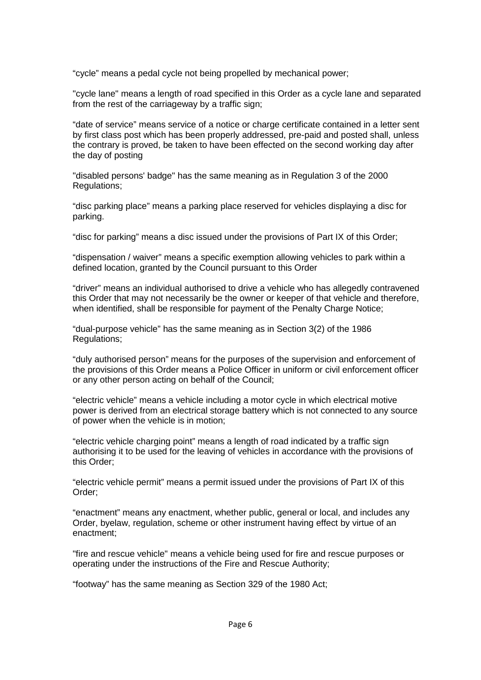"cycle" means a pedal cycle not being propelled by mechanical power;

"cycle lane" means a length of road specified in this Order as a cycle lane and separated from the rest of the carriageway by a traffic sign;

"date of service" means service of a notice or charge certificate contained in a letter sent by first class post which has been properly addressed, pre-paid and posted shall, unless the contrary is proved, be taken to have been effected on the second working day after the day of posting

"disabled persons' badge" has the same meaning as in Regulation 3 of the 2000 Regulations;

"disc parking place" means a parking place reserved for vehicles displaying a disc for parking.

"disc for parking" means a disc issued under the provisions of Part IX of this Order;

"dispensation / waiver" means a specific exemption allowing vehicles to park within a defined location, granted by the Council pursuant to this Order

"driver" means an individual authorised to drive a vehicle who has allegedly contravened this Order that may not necessarily be the owner or keeper of that vehicle and therefore, when identified, shall be responsible for payment of the Penalty Charge Notice;

"dual-purpose vehicle" has the same meaning as in Section 3(2) of the 1986 Regulations;

"duly authorised person" means for the purposes of the supervision and enforcement of the provisions of this Order means a Police Officer in uniform or civil enforcement officer or any other person acting on behalf of the Council;

"electric vehicle" means a vehicle including a motor cycle in which electrical motive power is derived from an electrical storage battery which is not connected to any source of power when the vehicle is in motion;

"electric vehicle charging point" means a length of road indicated by a traffic sign authorising it to be used for the leaving of vehicles in accordance with the provisions of this Order;

"electric vehicle permit" means a permit issued under the provisions of Part IX of this Order;

"enactment" means any enactment, whether public, general or local, and includes any Order, byelaw, regulation, scheme or other instrument having effect by virtue of an enactment;

"fire and rescue vehicle" means a vehicle being used for fire and rescue purposes or operating under the instructions of the Fire and Rescue Authority;

"footway" has the same meaning as Section 329 of the 1980 Act;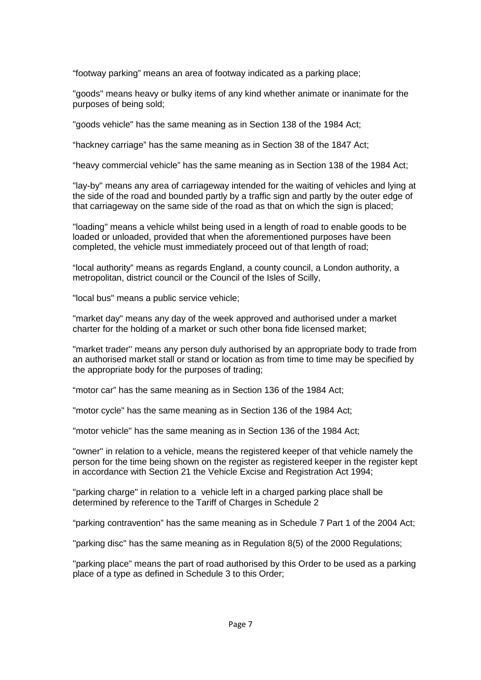"footway parking" means an area of footway indicated as a parking place;

"goods" means heavy or bulky items of any kind whether animate or inanimate for the purposes of being sold;

"goods vehicle" has the same meaning as in Section 138 of the 1984 Act;

"hackney carriage" has the same meaning as in Section 38 of the 1847 Act;

"heavy commercial vehicle" has the same meaning as in Section 138 of the 1984 Act;

"lay-by" means any area of carriageway intended for the waiting of vehicles and lying at the side of the road and bounded partly by a traffic sign and partly by the outer edge of that carriageway on the same side of the road as that on which the sign is placed;

"loading" means a vehicle whilst being used in a length of road to enable goods to be loaded or unloaded, provided that when the aforementioned purposes have been completed, the vehicle must immediately proceed out of that length of road;

"local authority" means as regards England, a county council, a London authority, a metropolitan, district council or the Council of the Isles of Scilly,

"local bus" means a public service vehicle;

"market day" means any day of the week approved and authorised under a market charter for the holding of a market or such other bona fide licensed market;

"market trader'' means any person duly authorised by an appropriate body to trade from an authorised market stall or stand or location as from time to time may be specified by the appropriate body for the purposes of trading;

"motor car" has the same meaning as in Section 136 of the 1984 Act;

"motor cycle" has the same meaning as in Section 136 of the 1984 Act;

"motor vehicle" has the same meaning as in Section 136 of the 1984 Act;

"owner" in relation to a vehicle, means the registered keeper of that vehicle namely the person for the time being shown on the register as registered keeper in the register kept in accordance with Section 21 the Vehicle Excise and Registration Act 1994;

"parking charge" in relation to a vehicle left in a charged parking place shall be determined by reference to the Tariff of Charges in Schedule 2

"parking contravention" has the same meaning as in Schedule 7 Part 1 of the 2004 Act;

"parking disc" has the same meaning as in Regulation 8(5) of the 2000 Regulations;

"parking place" means the part of road authorised by this Order to be used as a parking place of a type as defined in Schedule 3 to this Order;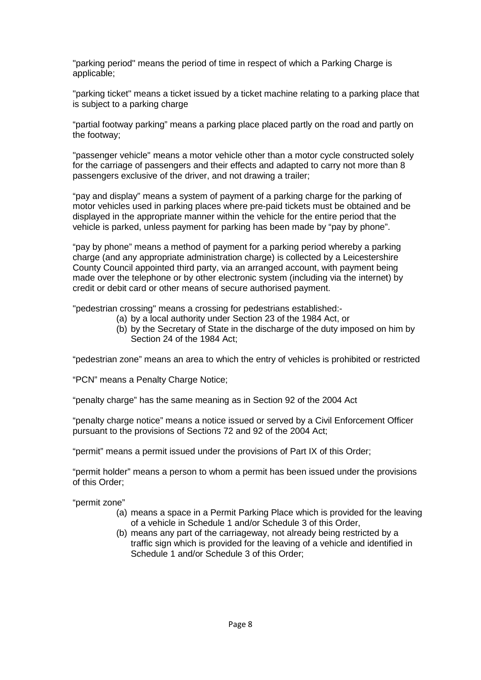"parking period" means the period of time in respect of which a Parking Charge is applicable;

"parking ticket" means a ticket issued by a ticket machine relating to a parking place that is subject to a parking charge

"partial footway parking" means a parking place placed partly on the road and partly on the footway;

"passenger vehicle" means a motor vehicle other than a motor cycle constructed solely for the carriage of passengers and their effects and adapted to carry not more than 8 passengers exclusive of the driver, and not drawing a trailer;

"pay and display" means a system of payment of a parking charge for the parking of motor vehicles used in parking places where pre-paid tickets must be obtained and be displayed in the appropriate manner within the vehicle for the entire period that the vehicle is parked, unless payment for parking has been made by "pay by phone".

"pay by phone" means a method of payment for a parking period whereby a parking charge (and any appropriate administration charge) is collected by a Leicestershire County Council appointed third party, via an arranged account, with payment being made over the telephone or by other electronic system (including via the internet) by credit or debit card or other means of secure authorised payment.

"pedestrian crossing" means a crossing for pedestrians established:-

- (a) by a local authority under Section 23 of the 1984 Act, or
	- (b) by the Secretary of State in the discharge of the duty imposed on him by Section 24 of the 1984 Act;

"pedestrian zone" means an area to which the entry of vehicles is prohibited or restricted

"PCN" means a Penalty Charge Notice;

"penalty charge" has the same meaning as in Section 92 of the 2004 Act

"penalty charge notice" means a notice issued or served by a Civil Enforcement Officer pursuant to the provisions of Sections 72 and 92 of the 2004 Act;

"permit" means a permit issued under the provisions of Part IX of this Order;

"permit holder" means a person to whom a permit has been issued under the provisions of this Order;

"permit zone"

- (a) means a space in a Permit Parking Place which is provided for the leaving of a vehicle in Schedule 1 and/or Schedule 3 of this Order,
- (b) means any part of the carriageway, not already being restricted by a traffic sign which is provided for the leaving of a vehicle and identified in Schedule 1 and/or Schedule 3 of this Order;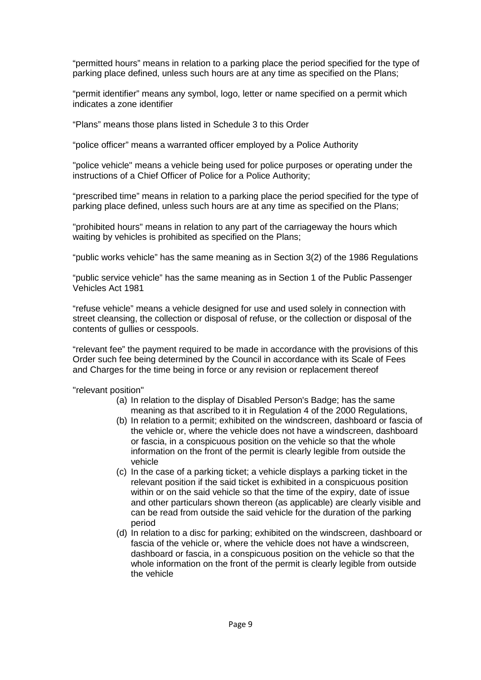"permitted hours" means in relation to a parking place the period specified for the type of parking place defined, unless such hours are at any time as specified on the Plans;

"permit identifier" means any symbol, logo, letter or name specified on a permit which indicates a zone identifier

"Plans" means those plans listed in Schedule 3 to this Order

"police officer" means a warranted officer employed by a Police Authority

"police vehicle" means a vehicle being used for police purposes or operating under the instructions of a Chief Officer of Police for a Police Authority;

"prescribed time" means in relation to a parking place the period specified for the type of parking place defined, unless such hours are at any time as specified on the Plans;

"prohibited hours" means in relation to any part of the carriageway the hours which waiting by vehicles is prohibited as specified on the Plans;

"public works vehicle" has the same meaning as in Section 3(2) of the 1986 Regulations

"public service vehicle" has the same meaning as in Section 1 of the Public Passenger Vehicles Act 1981

"refuse vehicle" means a vehicle designed for use and used solely in connection with street cleansing, the collection or disposal of refuse, or the collection or disposal of the contents of gullies or cesspools.

"relevant fee" the payment required to be made in accordance with the provisions of this Order such fee being determined by the Council in accordance with its Scale of Fees and Charges for the time being in force or any revision or replacement thereof

"relevant position"

- (a) In relation to the display of Disabled Person's Badge; has the same meaning as that ascribed to it in Regulation 4 of the 2000 Regulations,
- (b) In relation to a permit; exhibited on the windscreen, dashboard or fascia of the vehicle or, where the vehicle does not have a windscreen, dashboard or fascia, in a conspicuous position on the vehicle so that the whole information on the front of the permit is clearly legible from outside the vehicle
- (c) In the case of a parking ticket; a vehicle displays a parking ticket in the relevant position if the said ticket is exhibited in a conspicuous position within or on the said vehicle so that the time of the expiry, date of issue and other particulars shown thereon (as applicable) are clearly visible and can be read from outside the said vehicle for the duration of the parking period
- (d) In relation to a disc for parking; exhibited on the windscreen, dashboard or fascia of the vehicle or, where the vehicle does not have a windscreen, dashboard or fascia, in a conspicuous position on the vehicle so that the whole information on the front of the permit is clearly legible from outside the vehicle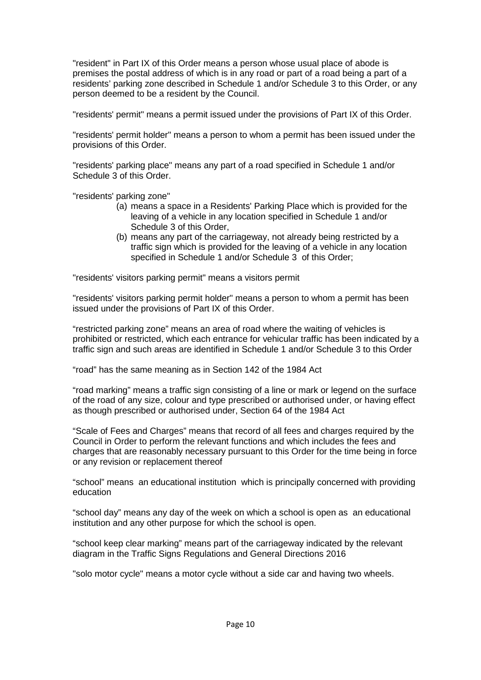"resident" in Part IX of this Order means a person whose usual place of abode is premises the postal address of which is in any road or part of a road being a part of a residents' parking zone described in Schedule 1 and/or Schedule 3 to this Order, or any person deemed to be a resident by the Council.

"residents' permit" means a permit issued under the provisions of Part IX of this Order.

"residents' permit holder" means a person to whom a permit has been issued under the provisions of this Order.

"residents' parking place" means any part of a road specified in Schedule 1 and/or Schedule 3 of this Order.

"residents' parking zone"

- (a) means a space in a Residents' Parking Place which is provided for the leaving of a vehicle in any location specified in Schedule 1 and/or Schedule 3 of this Order,
- (b) means any part of the carriageway, not already being restricted by a traffic sign which is provided for the leaving of a vehicle in any location specified in Schedule 1 and/or Schedule 3 of this Order;

"residents' visitors parking permit" means a visitors permit

"residents' visitors parking permit holder" means a person to whom a permit has been issued under the provisions of Part IX of this Order.

"restricted parking zone" means an area of road where the waiting of vehicles is prohibited or restricted, which each entrance for vehicular traffic has been indicated by a traffic sign and such areas are identified in Schedule 1 and/or Schedule 3 to this Order

"road" has the same meaning as in Section 142 of the 1984 Act

"road marking" means a traffic sign consisting of a line or mark or legend on the surface of the road of any size, colour and type prescribed or authorised under, or having effect as though prescribed or authorised under, Section 64 of the 1984 Act

"Scale of Fees and Charges" means that record of all fees and charges required by the Council in Order to perform the relevant functions and which includes the fees and charges that are reasonably necessary pursuant to this Order for the time being in force or any revision or replacement thereof

"school" means an educational institution which is principally concerned with providing education

"school day" means any day of the week on which a school is open as an educational institution and any other purpose for which the school is open.

"school keep clear marking" means part of the carriageway indicated by the relevant diagram in the Traffic Signs Regulations and General Directions 2016

"solo motor cycle" means a motor cycle without a side car and having two wheels.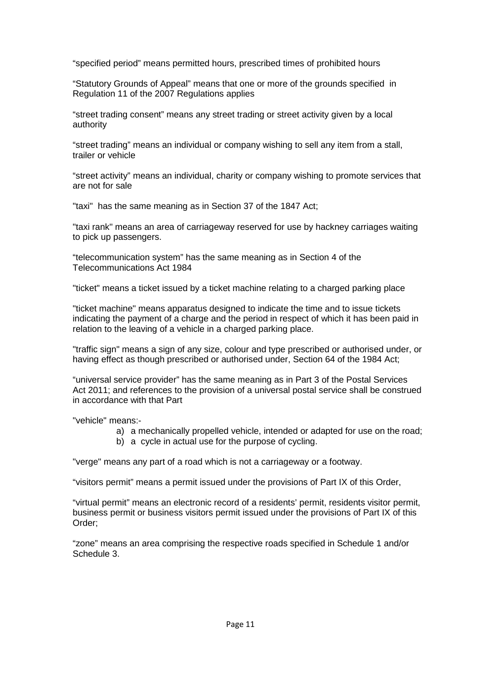"specified period" means permitted hours, prescribed times of prohibited hours

"Statutory Grounds of Appeal" means that one or more of the grounds specified in Regulation 11 of the 2007 Regulations applies

"street trading consent" means any street trading or street activity given by a local authority

"street trading" means an individual or company wishing to sell any item from a stall, trailer or vehicle

"street activity" means an individual, charity or company wishing to promote services that are not for sale

"taxi" has the same meaning as in Section 37 of the 1847 Act;

"taxi rank" means an area of carriageway reserved for use by hackney carriages waiting to pick up passengers.

"telecommunication system" has the same meaning as in Section 4 of the Telecommunications Act 1984

"ticket" means a ticket issued by a ticket machine relating to a charged parking place

"ticket machine" means apparatus designed to indicate the time and to issue tickets indicating the payment of a charge and the period in respect of which it has been paid in relation to the leaving of a vehicle in a charged parking place.

"traffic sign" means a sign of any size, colour and type prescribed or authorised under, or having effect as though prescribed or authorised under, Section 64 of the 1984 Act;

"universal service provider" has the same meaning as in Part 3 of the Postal Services Act 2011; and references to the provision of a universal postal service shall be construed in accordance with that Part

"vehicle" means:-

- a) a mechanically propelled vehicle, intended or adapted for use on the road;
- b) a cycle in actual use for the purpose of cycling.

"verge" means any part of a road which is not a carriageway or a footway.

"visitors permit" means a permit issued under the provisions of Part IX of this Order,

"virtual permit" means an electronic record of a residents' permit, residents visitor permit, business permit or business visitors permit issued under the provisions of Part IX of this Order;

"zone" means an area comprising the respective roads specified in Schedule 1 and/or Schedule 3.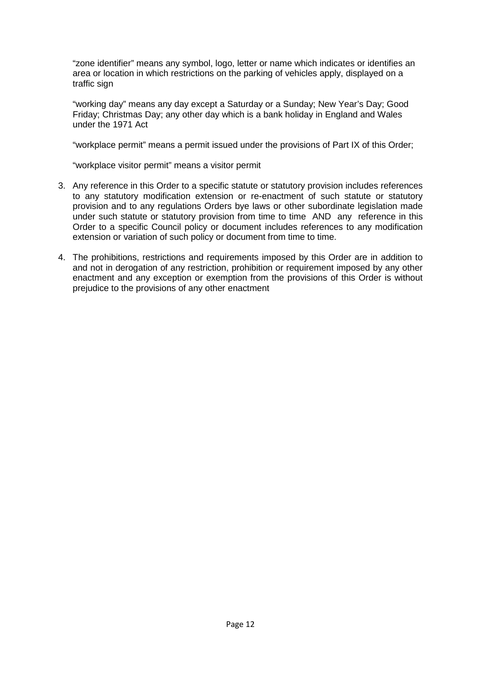"zone identifier" means any symbol, logo, letter or name which indicates or identifies an area or location in which restrictions on the parking of vehicles apply, displayed on a traffic sign

"working day" means any day except a Saturday or a Sunday; New Year's Day; Good Friday; Christmas Day; any other day which is a bank holiday in England and Wales under the 1971 Act

"workplace permit" means a permit issued under the provisions of Part IX of this Order;

"workplace visitor permit" means a visitor permit

- 3. Any reference in this Order to a specific statute or statutory provision includes references to any statutory modification extension or re-enactment of such statute or statutory provision and to any regulations Orders bye laws or other subordinate legislation made under such statute or statutory provision from time to time AND any reference in this Order to a specific Council policy or document includes references to any modification extension or variation of such policy or document from time to time.
- 4. The prohibitions, restrictions and requirements imposed by this Order are in addition to and not in derogation of any restriction, prohibition or requirement imposed by any other enactment and any exception or exemption from the provisions of this Order is without prejudice to the provisions of any other enactment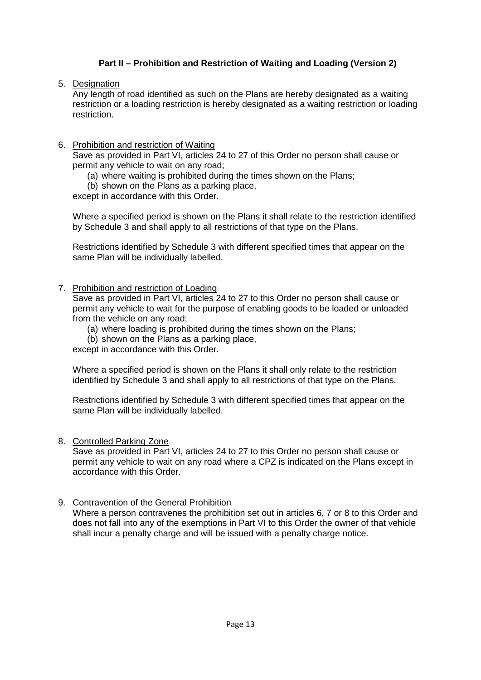# **Part II – Prohibition and Restriction of Waiting and Loading (Version 2)**

5. Designation

Any length of road identified as such on the Plans are hereby designated as a waiting restriction or a loading restriction is hereby designated as a waiting restriction or loading restriction.

### 6. Prohibition and restriction of Waiting

Save as provided in Part VI, articles 24 to 27 of this Order no person shall cause or permit any vehicle to wait on any road;

- (a) where waiting is prohibited during the times shown on the Plans;
- (b) shown on the Plans as a parking place,

except in accordance with this Order.

Where a specified period is shown on the Plans it shall relate to the restriction identified by Schedule 3 and shall apply to all restrictions of that type on the Plans.

Restrictions identified by Schedule 3 with different specified times that appear on the same Plan will be individually labelled.

7. Prohibition and restriction of Loading

Save as provided in Part VI, articles 24 to 27 to this Order no person shall cause or permit any vehicle to wait for the purpose of enabling goods to be loaded or unloaded from the vehicle on any road;

- (a) where loading is prohibited during the times shown on the Plans;
- (b) shown on the Plans as a parking place,

except in accordance with this Order.

Where a specified period is shown on the Plans it shall only relate to the restriction identified by Schedule 3 and shall apply to all restrictions of that type on the Plans.

Restrictions identified by Schedule 3 with different specified times that appear on the same Plan will be individually labelled.

#### 8. Controlled Parking Zone

Save as provided in Part VI, articles 24 to 27 to this Order no person shall cause or permit any vehicle to wait on any road where a CPZ is indicated on the Plans except in accordance with this Order.

#### 9. Contravention of the General Prohibition

Where a person contravenes the prohibition set out in articles 6, 7 or 8 to this Order and does not fall into any of the exemptions in Part VI to this Order the owner of that vehicle shall incur a penalty charge and will be issued with a penalty charge notice.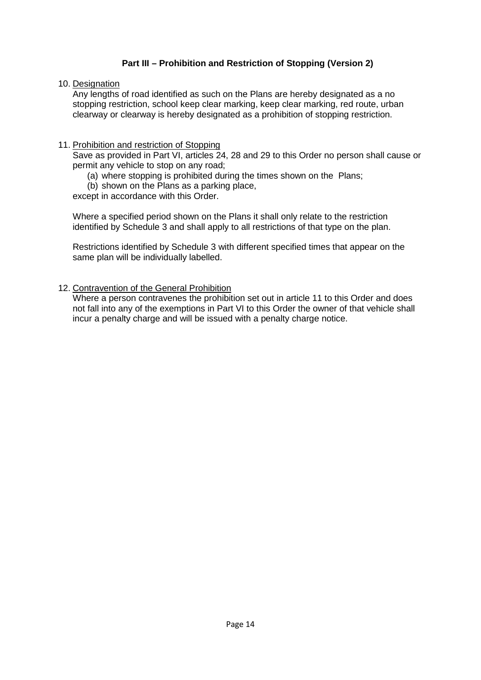# **Part III – Prohibition and Restriction of Stopping (Version 2)**

10. Designation

Any lengths of road identified as such on the Plans are hereby designated as a no stopping restriction, school keep clear marking, keep clear marking, red route, urban clearway or clearway is hereby designated as a prohibition of stopping restriction.

## 11. Prohibition and restriction of Stopping

Save as provided in Part VI, articles 24, 28 and 29 to this Order no person shall cause or permit any vehicle to stop on any road;

- (a) where stopping is prohibited during the times shown on the Plans;
- (b) shown on the Plans as a parking place,

except in accordance with this Order.

Where a specified period shown on the Plans it shall only relate to the restriction identified by Schedule 3 and shall apply to all restrictions of that type on the plan.

Restrictions identified by Schedule 3 with different specified times that appear on the same plan will be individually labelled.

## 12. Contravention of the General Prohibition

Where a person contravenes the prohibition set out in article 11 to this Order and does not fall into any of the exemptions in Part VI to this Order the owner of that vehicle shall incur a penalty charge and will be issued with a penalty charge notice.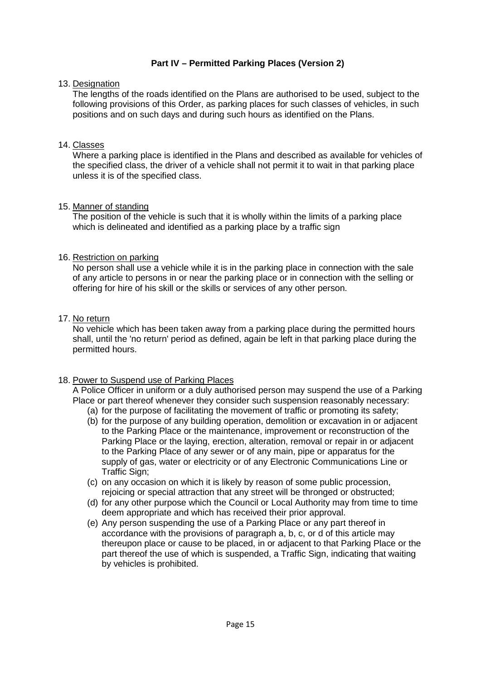# **Part IV – Permitted Parking Places (Version 2)**

#### 13. Designation

The lengths of the roads identified on the Plans are authorised to be used, subject to the following provisions of this Order, as parking places for such classes of vehicles, in such positions and on such days and during such hours as identified on the Plans.

#### 14. Classes

Where a parking place is identified in the Plans and described as available for vehicles of the specified class, the driver of a vehicle shall not permit it to wait in that parking place unless it is of the specified class.

#### 15. Manner of standing

The position of the vehicle is such that it is wholly within the limits of a parking place which is delineated and identified as a parking place by a traffic sign

#### 16. Restriction on parking

No person shall use a vehicle while it is in the parking place in connection with the sale of any article to persons in or near the parking place or in connection with the selling or offering for hire of his skill or the skills or services of any other person.

#### 17. No return

No vehicle which has been taken away from a parking place during the permitted hours shall, until the 'no return' period as defined, again be left in that parking place during the permitted hours.

#### 18. Power to Suspend use of Parking Places

A Police Officer in uniform or a duly authorised person may suspend the use of a Parking Place or part thereof whenever they consider such suspension reasonably necessary:

- (a) for the purpose of facilitating the movement of traffic or promoting its safety;
- (b) for the purpose of any building operation, demolition or excavation in or adjacent to the Parking Place or the maintenance, improvement or reconstruction of the Parking Place or the laying, erection, alteration, removal or repair in or adjacent to the Parking Place of any sewer or of any main, pipe or apparatus for the supply of gas, water or electricity or of any Electronic Communications Line or Traffic Sign;
- (c) on any occasion on which it is likely by reason of some public procession, rejoicing or special attraction that any street will be thronged or obstructed;
- (d) for any other purpose which the Council or Local Authority may from time to time deem appropriate and which has received their prior approval.
- (e) Any person suspending the use of a Parking Place or any part thereof in accordance with the provisions of paragraph a, b, c, or d of this article may thereupon place or cause to be placed, in or adjacent to that Parking Place or the part thereof the use of which is suspended, a Traffic Sign, indicating that waiting by vehicles is prohibited.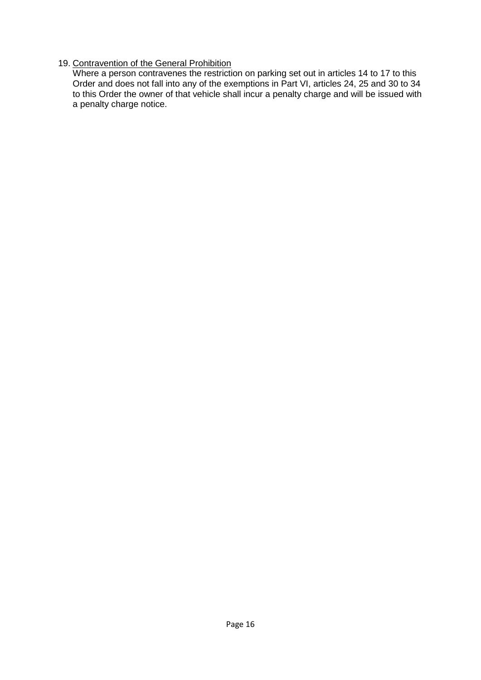# 19. Contravention of the General Prohibition

Where a person contravenes the restriction on parking set out in articles 14 to 17 to this Order and does not fall into any of the exemptions in Part VI, articles 24, 25 and 30 to 34 to this Order the owner of that vehicle shall incur a penalty charge and will be issued with a penalty charge notice.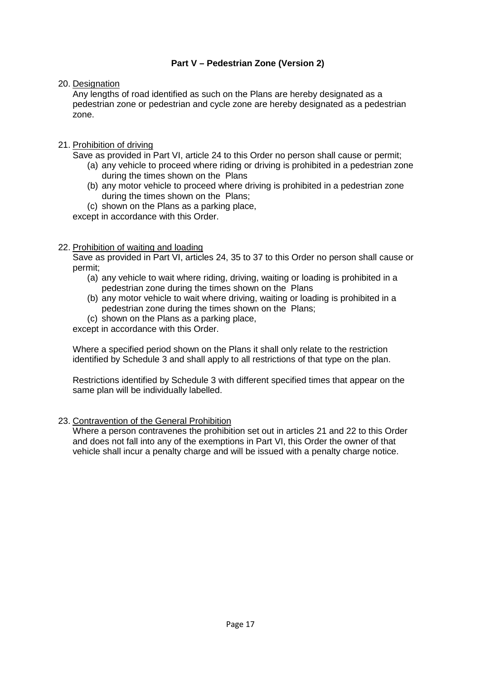# **Part V – Pedestrian Zone (Version 2)**

20. Designation

Any lengths of road identified as such on the Plans are hereby designated as a pedestrian zone or pedestrian and cycle zone are hereby designated as a pedestrian zone.

- 21. Prohibition of driving
	- Save as provided in Part VI, article 24 to this Order no person shall cause or permit; (a) any vehicle to proceed where riding or driving is prohibited in a pedestrian zone during the times shown on the Plans
		- (b) any motor vehicle to proceed where driving is prohibited in a pedestrian zone during the times shown on the Plans;
		- (c) shown on the Plans as a parking place,

except in accordance with this Order.

## 22. Prohibition of waiting and loading

Save as provided in Part VI, articles 24, 35 to 37 to this Order no person shall cause or permit;

- (a) any vehicle to wait where riding, driving, waiting or loading is prohibited in a pedestrian zone during the times shown on the Plans
- (b) any motor vehicle to wait where driving, waiting or loading is prohibited in a pedestrian zone during the times shown on the Plans;
- (c) shown on the Plans as a parking place,

except in accordance with this Order.

Where a specified period shown on the Plans it shall only relate to the restriction identified by Schedule 3 and shall apply to all restrictions of that type on the plan.

Restrictions identified by Schedule 3 with different specified times that appear on the same plan will be individually labelled.

# 23. Contravention of the General Prohibition

Where a person contravenes the prohibition set out in articles 21 and 22 to this Order and does not fall into any of the exemptions in Part VI, this Order the owner of that vehicle shall incur a penalty charge and will be issued with a penalty charge notice.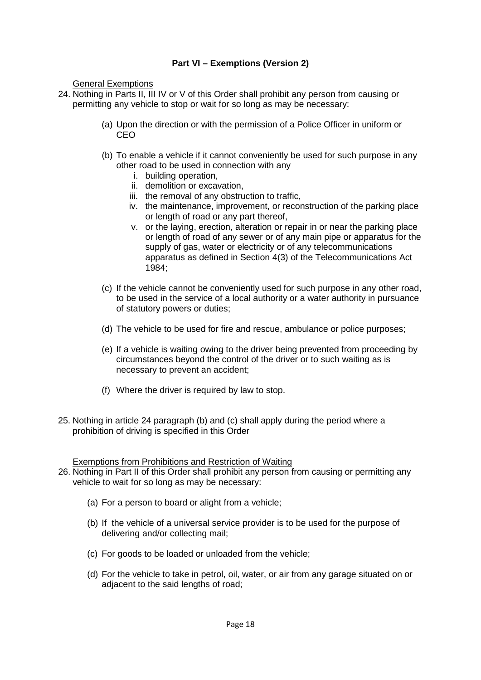# **Part VI – Exemptions (Version 2)**

General Exemptions

- 24. Nothing in Parts II, III IV or V of this Order shall prohibit any person from causing or permitting any vehicle to stop or wait for so long as may be necessary:
	- (a) Upon the direction or with the permission of a Police Officer in uniform or CEO
	- (b) To enable a vehicle if it cannot conveniently be used for such purpose in any other road to be used in connection with any
		- i. building operation,
		- ii. demolition or excavation,
		- iii. the removal of any obstruction to traffic,
		- iv. the maintenance, improvement, or reconstruction of the parking place or length of road or any part thereof,
		- v. or the laying, erection, alteration or repair in or near the parking place or length of road of any sewer or of any main pipe or apparatus for the supply of gas, water or electricity or of any telecommunications apparatus as defined in Section 4(3) of the Telecommunications Act 1984;
	- (c) If the vehicle cannot be conveniently used for such purpose in any other road, to be used in the service of a local authority or a water authority in pursuance of statutory powers or duties;
	- (d) The vehicle to be used for fire and rescue, ambulance or police purposes;
	- (e) If a vehicle is waiting owing to the driver being prevented from proceeding by circumstances beyond the control of the driver or to such waiting as is necessary to prevent an accident;
	- (f) Where the driver is required by law to stop.
- 25. Nothing in article 24 paragraph (b) and (c) shall apply during the period where a prohibition of driving is specified in this Order

Exemptions from Prohibitions and Restriction of Waiting

- 26. Nothing in Part II of this Order shall prohibit any person from causing or permitting any vehicle to wait for so long as may be necessary:
	- (a) For a person to board or alight from a vehicle;
	- (b) If the vehicle of a universal service provider is to be used for the purpose of delivering and/or collecting mail;
	- (c) For goods to be loaded or unloaded from the vehicle;
	- (d) For the vehicle to take in petrol, oil, water, or air from any garage situated on or adjacent to the said lengths of road;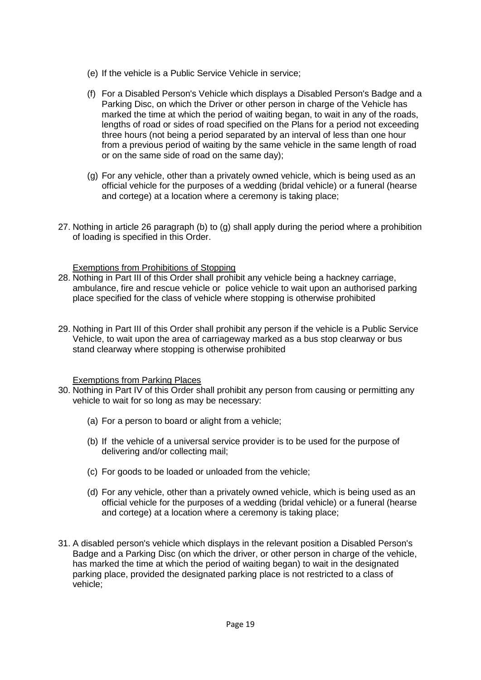- (e) If the vehicle is a Public Service Vehicle in service;
- (f) For a Disabled Person's Vehicle which displays a Disabled Person's Badge and a Parking Disc, on which the Driver or other person in charge of the Vehicle has marked the time at which the period of waiting began, to wait in any of the roads, lengths of road or sides of road specified on the Plans for a period not exceeding three hours (not being a period separated by an interval of less than one hour from a previous period of waiting by the same vehicle in the same length of road or on the same side of road on the same day);
- (g) For any vehicle, other than a privately owned vehicle, which is being used as an official vehicle for the purposes of a wedding (bridal vehicle) or a funeral (hearse and cortege) at a location where a ceremony is taking place;
- 27. Nothing in article 26 paragraph (b) to (g) shall apply during the period where a prohibition of loading is specified in this Order.

## Exemptions from Prohibitions of Stopping

- 28. Nothing in Part III of this Order shall prohibit any vehicle being a hackney carriage, ambulance, fire and rescue vehicle or police vehicle to wait upon an authorised parking place specified for the class of vehicle where stopping is otherwise prohibited
- 29. Nothing in Part III of this Order shall prohibit any person if the vehicle is a Public Service Vehicle, to wait upon the area of carriageway marked as a bus stop clearway or bus stand clearway where stopping is otherwise prohibited

#### Exemptions from Parking Places

- 30. Nothing in Part IV of this Order shall prohibit any person from causing or permitting any vehicle to wait for so long as may be necessary:
	- (a) For a person to board or alight from a vehicle;
	- (b) If the vehicle of a universal service provider is to be used for the purpose of delivering and/or collecting mail;
	- (c) For goods to be loaded or unloaded from the vehicle;
	- (d) For any vehicle, other than a privately owned vehicle, which is being used as an official vehicle for the purposes of a wedding (bridal vehicle) or a funeral (hearse and cortege) at a location where a ceremony is taking place;
- 31. A disabled person's vehicle which displays in the relevant position a Disabled Person's Badge and a Parking Disc (on which the driver, or other person in charge of the vehicle, has marked the time at which the period of waiting began) to wait in the designated parking place, provided the designated parking place is not restricted to a class of vehicle;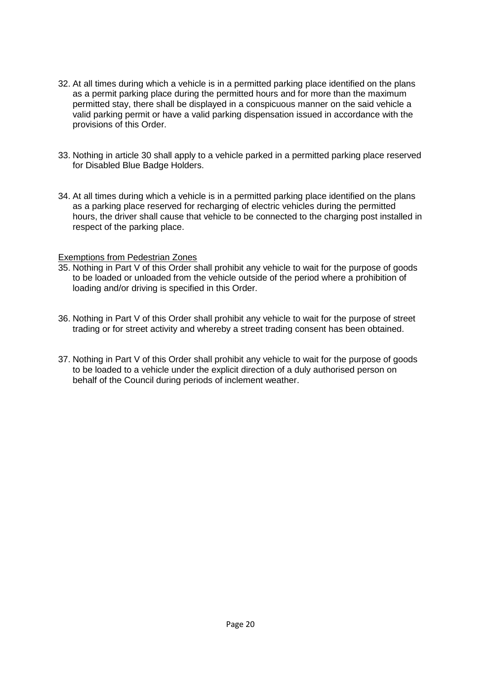- 32. At all times during which a vehicle is in a permitted parking place identified on the plans as a permit parking place during the permitted hours and for more than the maximum permitted stay, there shall be displayed in a conspicuous manner on the said vehicle a valid parking permit or have a valid parking dispensation issued in accordance with the provisions of this Order.
- 33. Nothing in article 30 shall apply to a vehicle parked in a permitted parking place reserved for Disabled Blue Badge Holders.
- 34. At all times during which a vehicle is in a permitted parking place identified on the plans as a parking place reserved for recharging of electric vehicles during the permitted hours, the driver shall cause that vehicle to be connected to the charging post installed in respect of the parking place.

#### Exemptions from Pedestrian Zones

- 35. Nothing in Part V of this Order shall prohibit any vehicle to wait for the purpose of goods to be loaded or unloaded from the vehicle outside of the period where a prohibition of loading and/or driving is specified in this Order.
- 36. Nothing in Part V of this Order shall prohibit any vehicle to wait for the purpose of street trading or for street activity and whereby a street trading consent has been obtained.
- 37. Nothing in Part V of this Order shall prohibit any vehicle to wait for the purpose of goods to be loaded to a vehicle under the explicit direction of a duly authorised person on behalf of the Council during periods of inclement weather.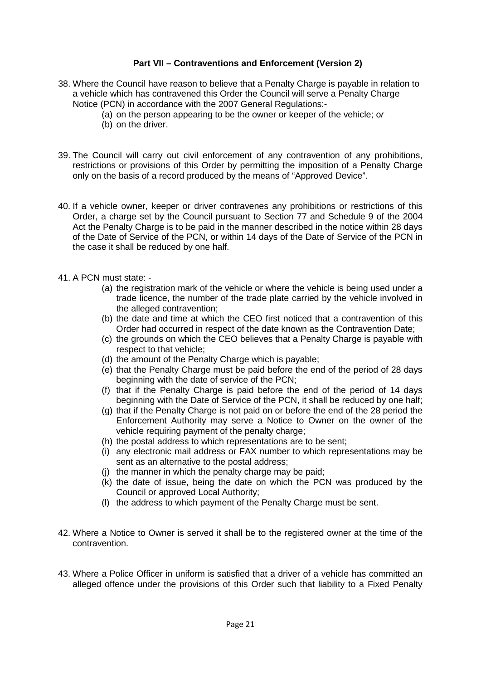## **Part VII – Contraventions and Enforcement (Version 2)**

- 38. Where the Council have reason to believe that a Penalty Charge is payable in relation to a vehicle which has contravened this Order the Council will serve a Penalty Charge Notice (PCN) in accordance with the 2007 General Regulations:-
	- (a) on the person appearing to be the owner or keeper of the vehicle; o*r*
	- (b) on the driver.
- 39. The Council will carry out civil enforcement of any contravention of any prohibitions, restrictions or provisions of this Order by permitting the imposition of a Penalty Charge only on the basis of a record produced by the means of "Approved Device".
- 40. If a vehicle owner, keeper or driver contravenes any prohibitions or restrictions of this Order, a charge set by the Council pursuant to Section 77 and Schedule 9 of the 2004 Act the Penalty Charge is to be paid in the manner described in the notice within 28 days of the Date of Service of the PCN, or within 14 days of the Date of Service of the PCN in the case it shall be reduced by one half.
- 41. A PCN must state:
	- (a) the registration mark of the vehicle or where the vehicle is being used under a trade licence, the number of the trade plate carried by the vehicle involved in the alleged contravention;
	- (b) the date and time at which the CEO first noticed that a contravention of this Order had occurred in respect of the date known as the Contravention Date;
	- (c) the grounds on which the CEO believes that a Penalty Charge is payable with respect to that vehicle;
	- (d) the amount of the Penalty Charge which is payable;
	- (e) that the Penalty Charge must be paid before the end of the period of 28 days beginning with the date of service of the PCN;
	- (f) that if the Penalty Charge is paid before the end of the period of 14 days beginning with the Date of Service of the PCN, it shall be reduced by one half;
	- (g) that if the Penalty Charge is not paid on or before the end of the 28 period the Enforcement Authority may serve a Notice to Owner on the owner of the vehicle requiring payment of the penalty charge;
	- (h) the postal address to which representations are to be sent;
	- (i) any electronic mail address or FAX number to which representations may be sent as an alternative to the postal address;
	- (j) the manner in which the penalty charge may be paid;
	- (k) the date of issue, being the date on which the PCN was produced by the Council or approved Local Authority;
	- (l) the address to which payment of the Penalty Charge must be sent.
- 42. Where a Notice to Owner is served it shall be to the registered owner at the time of the contravention.
- 43. Where a Police Officer in uniform is satisfied that a driver of a vehicle has committed an alleged offence under the provisions of this Order such that liability to a Fixed Penalty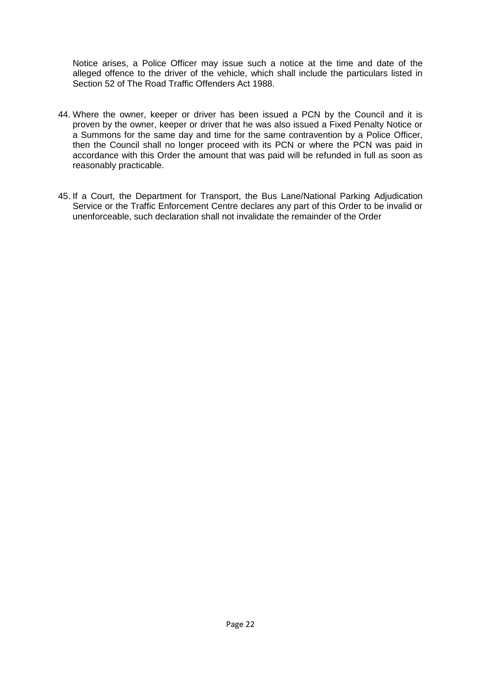Notice arises, a Police Officer may issue such a notice at the time and date of the alleged offence to the driver of the vehicle, which shall include the particulars listed in Section 52 of The Road Traffic Offenders Act 1988.

- 44. Where the owner, keeper or driver has been issued a PCN by the Council and it is proven by the owner, keeper or driver that he was also issued a Fixed Penalty Notice or a Summons for the same day and time for the same contravention by a Police Officer, then the Council shall no longer proceed with its PCN or where the PCN was paid in accordance with this Order the amount that was paid will be refunded in full as soon as reasonably practicable.
- 45. If a Court, the Department for Transport, the Bus Lane/National Parking Adjudication Service or the Traffic Enforcement Centre declares any part of this Order to be invalid or unenforceable, such declaration shall not invalidate the remainder of the Order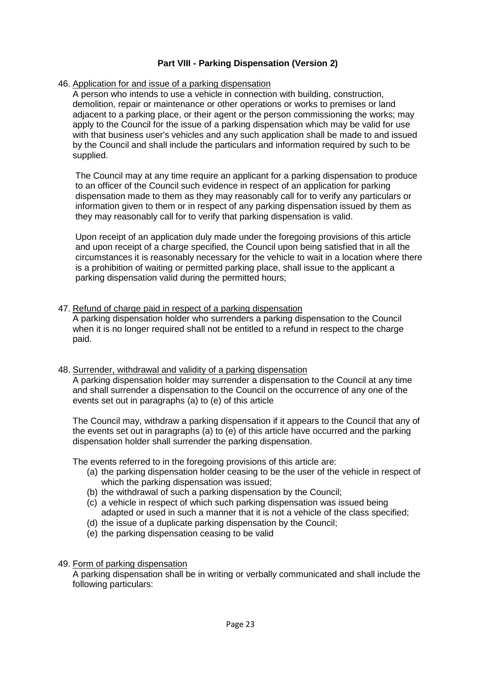# **Part VIII - Parking Dispensation (Version 2)**

## 46. Application for and issue of a parking dispensation

A person who intends to use a vehicle in connection with building, construction, demolition, repair or maintenance or other operations or works to premises or land adjacent to a parking place, or their agent or the person commissioning the works; may apply to the Council for the issue of a parking dispensation which may be valid for use with that business user's vehicles and any such application shall be made to and issued by the Council and shall include the particulars and information required by such to be supplied.

The Council may at any time require an applicant for a parking dispensation to produce to an officer of the Council such evidence in respect of an application for parking dispensation made to them as they may reasonably call for to verify any particulars or information given to them or in respect of any parking dispensation issued by them as they may reasonably call for to verify that parking dispensation is valid.

Upon receipt of an application duly made under the foregoing provisions of this article and upon receipt of a charge specified, the Council upon being satisfied that in all the circumstances it is reasonably necessary for the vehicle to wait in a location where there is a prohibition of waiting or permitted parking place, shall issue to the applicant a parking dispensation valid during the permitted hours;

#### 47. Refund of charge paid in respect of a parking dispensation

A parking dispensation holder who surrenders a parking dispensation to the Council when it is no longer required shall not be entitled to a refund in respect to the charge paid.

#### 48. Surrender, withdrawal and validity of a parking dispensation

A parking dispensation holder may surrender a dispensation to the Council at any time and shall surrender a dispensation to the Council on the occurrence of any one of the events set out in paragraphs (a) to (e) of this article

The Council may, withdraw a parking dispensation if it appears to the Council that any of the events set out in paragraphs (a) to (e) of this article have occurred and the parking dispensation holder shall surrender the parking dispensation.

The events referred to in the foregoing provisions of this article are:

- (a) the parking dispensation holder ceasing to be the user of the vehicle in respect of which the parking dispensation was issued;
- (b) the withdrawal of such a parking dispensation by the Council;
- (c) a vehicle in respect of which such parking dispensation was issued being adapted or used in such a manner that it is not a vehicle of the class specified;
- (d) the issue of a duplicate parking dispensation by the Council;
- (e) the parking dispensation ceasing to be valid
- 49. Form of parking dispensation

A parking dispensation shall be in writing or verbally communicated and shall include the following particulars: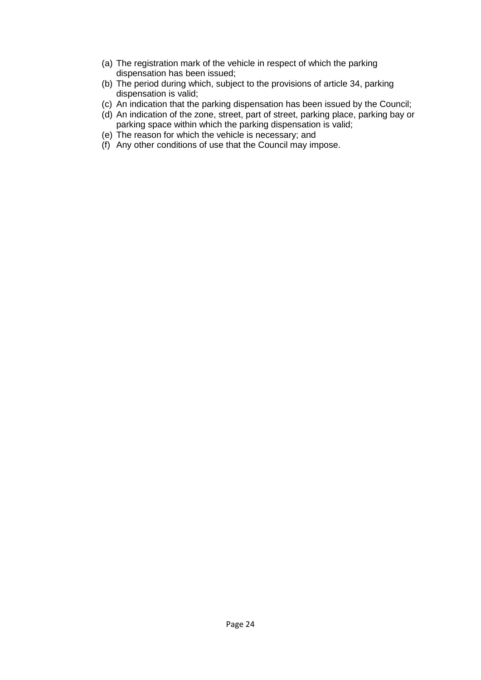- (a) The registration mark of the vehicle in respect of which the parking dispensation has been issued;
- (b) The period during which, subject to the provisions of article 34, parking dispensation is valid;
- (c) An indication that the parking dispensation has been issued by the Council;
- (d) An indication of the zone, street, part of street, parking place, parking bay or parking space within which the parking dispensation is valid;
- (e) The reason for which the vehicle is necessary; and
- (f) Any other conditions of use that the Council may impose.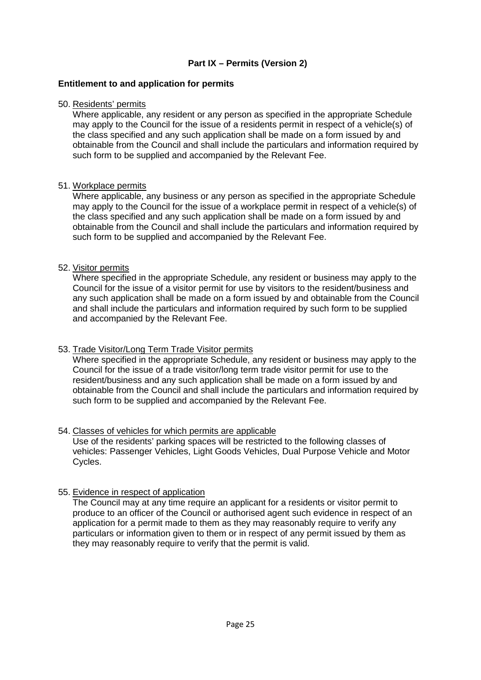# **Part IX – Permits (Version 2)**

#### **Entitlement to and application for permits**

#### 50. Residents' permits

Where applicable, any resident or any person as specified in the appropriate Schedule may apply to the Council for the issue of a residents permit in respect of a vehicle(s) of the class specified and any such application shall be made on a form issued by and obtainable from the Council and shall include the particulars and information required by such form to be supplied and accompanied by the Relevant Fee.

#### 51. Workplace permits

Where applicable, any business or any person as specified in the appropriate Schedule may apply to the Council for the issue of a workplace permit in respect of a vehicle(s) of the class specified and any such application shall be made on a form issued by and obtainable from the Council and shall include the particulars and information required by such form to be supplied and accompanied by the Relevant Fee.

#### 52. Visitor permits

Where specified in the appropriate Schedule, any resident or business may apply to the Council for the issue of a visitor permit for use by visitors to the resident/business and any such application shall be made on a form issued by and obtainable from the Council and shall include the particulars and information required by such form to be supplied and accompanied by the Relevant Fee.

#### 53. Trade Visitor/Long Term Trade Visitor permits

Where specified in the appropriate Schedule, any resident or business may apply to the Council for the issue of a trade visitor/long term trade visitor permit for use to the resident/business and any such application shall be made on a form issued by and obtainable from the Council and shall include the particulars and information required by such form to be supplied and accompanied by the Relevant Fee.

#### 54. Classes of vehicles for which permits are applicable

Use of the residents' parking spaces will be restricted to the following classes of vehicles: Passenger Vehicles, Light Goods Vehicles, Dual Purpose Vehicle and Motor Cycles.

#### 55. Evidence in respect of application

The Council may at any time require an applicant for a residents or visitor permit to produce to an officer of the Council or authorised agent such evidence in respect of an application for a permit made to them as they may reasonably require to verify any particulars or information given to them or in respect of any permit issued by them as they may reasonably require to verify that the permit is valid.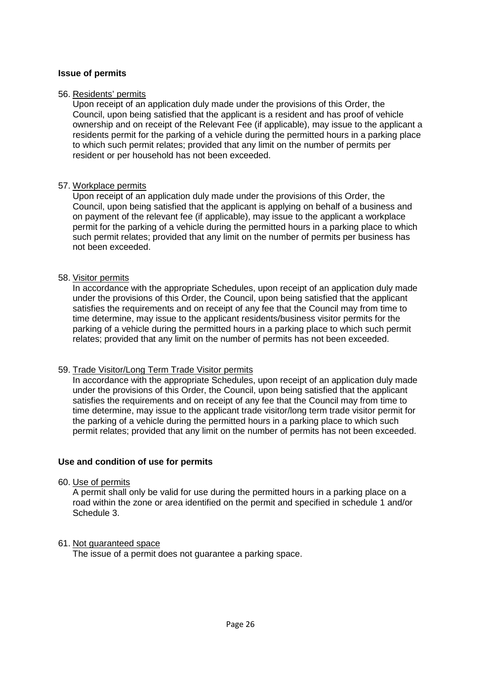#### **Issue of permits**

#### 56. Residents' permits

Upon receipt of an application duly made under the provisions of this Order, the Council, upon being satisfied that the applicant is a resident and has proof of vehicle ownership and on receipt of the Relevant Fee (if applicable), may issue to the applicant a residents permit for the parking of a vehicle during the permitted hours in a parking place to which such permit relates; provided that any limit on the number of permits per resident or per household has not been exceeded.

#### 57. Workplace permits

Upon receipt of an application duly made under the provisions of this Order, the Council, upon being satisfied that the applicant is applying on behalf of a business and on payment of the relevant fee (if applicable), may issue to the applicant a workplace permit for the parking of a vehicle during the permitted hours in a parking place to which such permit relates; provided that any limit on the number of permits per business has not been exceeded.

#### 58. Visitor permits

In accordance with the appropriate Schedules, upon receipt of an application duly made under the provisions of this Order, the Council, upon being satisfied that the applicant satisfies the requirements and on receipt of any fee that the Council may from time to time determine, may issue to the applicant residents/business visitor permits for the parking of a vehicle during the permitted hours in a parking place to which such permit relates; provided that any limit on the number of permits has not been exceeded.

#### 59. Trade Visitor/Long Term Trade Visitor permits

In accordance with the appropriate Schedules, upon receipt of an application duly made under the provisions of this Order, the Council, upon being satisfied that the applicant satisfies the requirements and on receipt of any fee that the Council may from time to time determine, may issue to the applicant trade visitor/long term trade visitor permit for the parking of a vehicle during the permitted hours in a parking place to which such permit relates; provided that any limit on the number of permits has not been exceeded.

#### **Use and condition of use for permits**

#### 60. Use of permits

A permit shall only be valid for use during the permitted hours in a parking place on a road within the zone or area identified on the permit and specified in schedule 1 and/or Schedule 3.

#### 61. Not guaranteed space

The issue of a permit does not guarantee a parking space.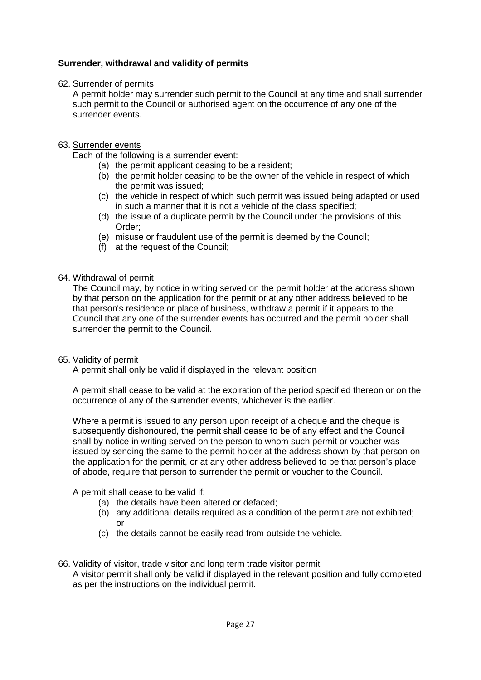# **Surrender, withdrawal and validity of permits**

## 62. Surrender of permits

A permit holder may surrender such permit to the Council at any time and shall surrender such permit to the Council or authorised agent on the occurrence of any one of the surrender events.

## 63. Surrender events

Each of the following is a surrender event:

- (a) the permit applicant ceasing to be a resident;
- (b) the permit holder ceasing to be the owner of the vehicle in respect of which the permit was issued;
- (c) the vehicle in respect of which such permit was issued being adapted or used in such a manner that it is not a vehicle of the class specified;
- (d) the issue of a duplicate permit by the Council under the provisions of this Order;
- (e) misuse or fraudulent use of the permit is deemed by the Council;
- (f) at the request of the Council;

## 64. Withdrawal of permit

The Council may, by notice in writing served on the permit holder at the address shown by that person on the application for the permit or at any other address believed to be that person's residence or place of business, withdraw a permit if it appears to the Council that any one of the surrender events has occurred and the permit holder shall surrender the permit to the Council.

#### 65. Validity of permit

A permit shall only be valid if displayed in the relevant position

A permit shall cease to be valid at the expiration of the period specified thereon or on the occurrence of any of the surrender events, whichever is the earlier.

Where a permit is issued to any person upon receipt of a cheque and the cheque is subsequently dishonoured, the permit shall cease to be of any effect and the Council shall by notice in writing served on the person to whom such permit or voucher was issued by sending the same to the permit holder at the address shown by that person on the application for the permit, or at any other address believed to be that person's place of abode, require that person to surrender the permit or voucher to the Council.

A permit shall cease to be valid if:

- (a) the details have been altered or defaced;
- (b) any additional details required as a condition of the permit are not exhibited; or
- (c) the details cannot be easily read from outside the vehicle.

#### 66. Validity of visitor, trade visitor and long term trade visitor permit

A visitor permit shall only be valid if displayed in the relevant position and fully completed as per the instructions on the individual permit.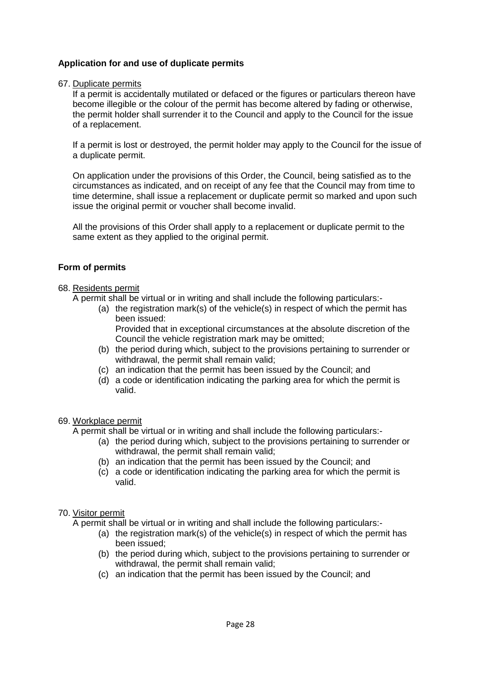# **Application for and use of duplicate permits**

#### 67. Duplicate permits

If a permit is accidentally mutilated or defaced or the figures or particulars thereon have become illegible or the colour of the permit has become altered by fading or otherwise, the permit holder shall surrender it to the Council and apply to the Council for the issue of a replacement.

If a permit is lost or destroyed, the permit holder may apply to the Council for the issue of a duplicate permit.

On application under the provisions of this Order, the Council, being satisfied as to the circumstances as indicated, and on receipt of any fee that the Council may from time to time determine, shall issue a replacement or duplicate permit so marked and upon such issue the original permit or voucher shall become invalid.

All the provisions of this Order shall apply to a replacement or duplicate permit to the same extent as they applied to the original permit.

#### **Form of permits**

#### 68. Residents permit

A permit shall be virtual or in writing and shall include the following particulars:-

(a) the registration mark(s) of the vehicle(s) in respect of which the permit has been issued:

Provided that in exceptional circumstances at the absolute discretion of the Council the vehicle registration mark may be omitted;

- (b) the period during which, subject to the provisions pertaining to surrender or withdrawal, the permit shall remain valid;
- (c) an indication that the permit has been issued by the Council; and
- (d) a code or identification indicating the parking area for which the permit is valid.

#### 69. Workplace permit

A permit shall be virtual or in writing and shall include the following particulars:-

- (a) the period during which, subject to the provisions pertaining to surrender or withdrawal, the permit shall remain valid;
- (b) an indication that the permit has been issued by the Council; and
- (c) a code or identification indicating the parking area for which the permit is valid.

#### 70. Visitor permit

A permit shall be virtual or in writing and shall include the following particulars:-

- (a) the registration mark(s) of the vehicle(s) in respect of which the permit has been issued;
- (b) the period during which, subject to the provisions pertaining to surrender or withdrawal, the permit shall remain valid;
- (c) an indication that the permit has been issued by the Council; and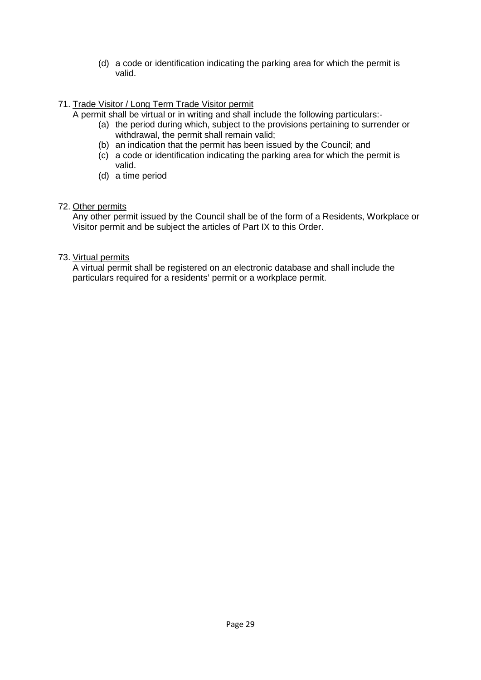(d) a code or identification indicating the parking area for which the permit is valid.

# 71. Trade Visitor / Long Term Trade Visitor permit

A permit shall be virtual or in writing and shall include the following particulars:-

- (a) the period during which, subject to the provisions pertaining to surrender or withdrawal, the permit shall remain valid;
- (b) an indication that the permit has been issued by the Council; and
- (c) a code or identification indicating the parking area for which the permit is valid.
- (d) a time period

#### 72. Other permits

Any other permit issued by the Council shall be of the form of a Residents, Workplace or Visitor permit and be subject the articles of Part IX to this Order.

## 73. Virtual permits

A virtual permit shall be registered on an electronic database and shall include the particulars required for a residents' permit or a workplace permit.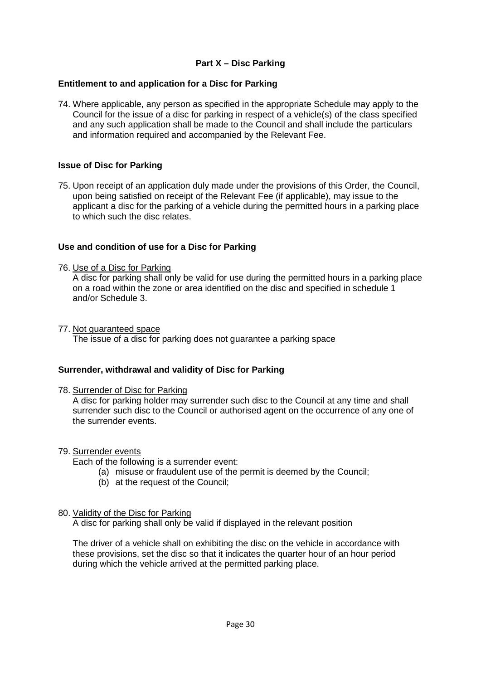# **Part X – Disc Parking**

## **Entitlement to and application for a Disc for Parking**

74. Where applicable, any person as specified in the appropriate Schedule may apply to the Council for the issue of a disc for parking in respect of a vehicle(s) of the class specified and any such application shall be made to the Council and shall include the particulars and information required and accompanied by the Relevant Fee.

## **Issue of Disc for Parking**

75. Upon receipt of an application duly made under the provisions of this Order, the Council, upon being satisfied on receipt of the Relevant Fee (if applicable), may issue to the applicant a disc for the parking of a vehicle during the permitted hours in a parking place to which such the disc relates.

## **Use and condition of use for a Disc for Parking**

76. Use of a Disc for Parking

A disc for parking shall only be valid for use during the permitted hours in a parking place on a road within the zone or area identified on the disc and specified in schedule 1 and/or Schedule 3.

#### 77. Not guaranteed space

The issue of a disc for parking does not guarantee a parking space

#### **Surrender, withdrawal and validity of Disc for Parking**

#### 78. Surrender of Disc for Parking

A disc for parking holder may surrender such disc to the Council at any time and shall surrender such disc to the Council or authorised agent on the occurrence of any one of the surrender events.

#### 79. Surrender events

Each of the following is a surrender event:

- (a) misuse or fraudulent use of the permit is deemed by the Council;
- (b) at the request of the Council;

#### 80. Validity of the Disc for Parking

A disc for parking shall only be valid if displayed in the relevant position

The driver of a vehicle shall on exhibiting the disc on the vehicle in accordance with these provisions, set the disc so that it indicates the quarter hour of an hour period during which the vehicle arrived at the permitted parking place.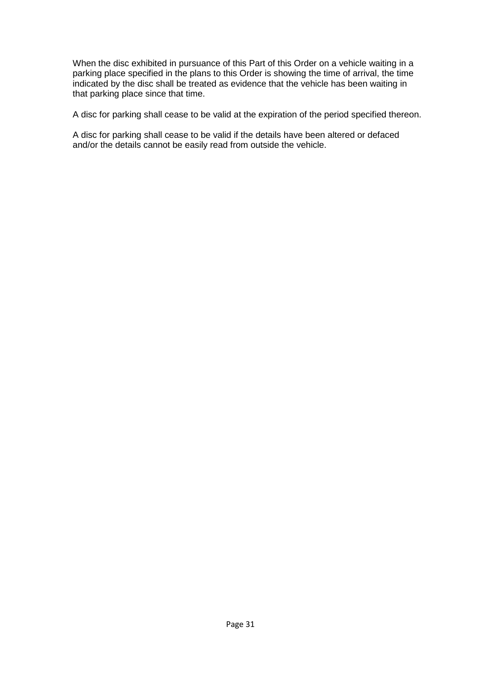When the disc exhibited in pursuance of this Part of this Order on a vehicle waiting in a parking place specified in the plans to this Order is showing the time of arrival, the time indicated by the disc shall be treated as evidence that the vehicle has been waiting in that parking place since that time.

A disc for parking shall cease to be valid at the expiration of the period specified thereon.

A disc for parking shall cease to be valid if the details have been altered or defaced and/or the details cannot be easily read from outside the vehicle.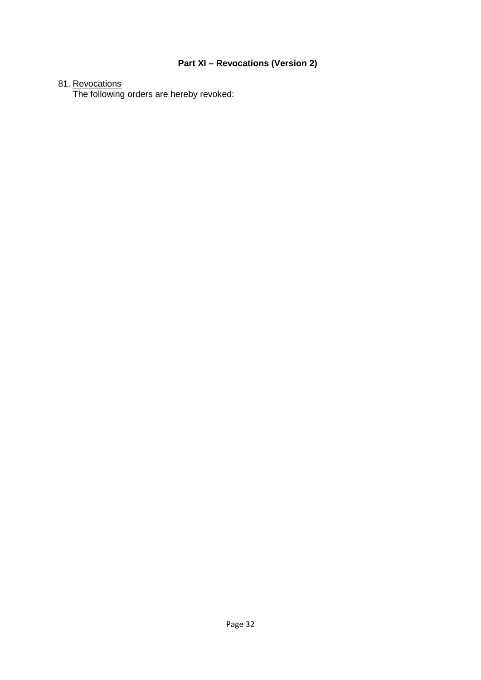# **Part XI – Revocations (Version 2)**

## 81. <u>Revocations</u>

The following orders are hereby revoked: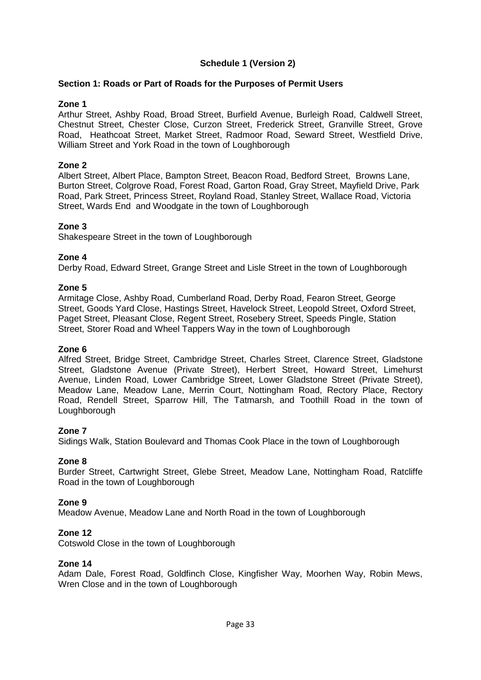# **Schedule 1 (Version 2)**

#### **Section 1: Roads or Part of Roads for the Purposes of Permit Users**

#### **Zone 1**

Arthur Street, Ashby Road, Broad Street, Burfield Avenue, Burleigh Road, Caldwell Street, Chestnut Street, Chester Close, Curzon Street, Frederick Street, Granville Street, Grove Road, Heathcoat Street, Market Street, Radmoor Road, Seward Street, Westfield Drive, William Street and York Road in the town of Loughborough

#### **Zone 2**

Albert Street, Albert Place, Bampton Street, Beacon Road, Bedford Street, Browns Lane, Burton Street, Colgrove Road, Forest Road, Garton Road, Gray Street, Mayfield Drive, Park Road, Park Street, Princess Street, Royland Road, Stanley Street, Wallace Road, Victoria Street, Wards End and Woodgate in the town of Loughborough

#### **Zone 3**

Shakespeare Street in the town of Loughborough

#### **Zone 4**

Derby Road, Edward Street, Grange Street and Lisle Street in the town of Loughborough

#### **Zone 5**

Armitage Close, Ashby Road, Cumberland Road, Derby Road, Fearon Street, George Street, Goods Yard Close, Hastings Street, Havelock Street, Leopold Street, Oxford Street, Paget Street, Pleasant Close, Regent Street, Rosebery Street, Speeds Pingle, Station Street, Storer Road and Wheel Tappers Way in the town of Loughborough

#### **Zone 6**

Alfred Street, Bridge Street, Cambridge Street, Charles Street, Clarence Street, Gladstone Street, Gladstone Avenue (Private Street), Herbert Street, Howard Street, Limehurst Avenue, Linden Road, Lower Cambridge Street, Lower Gladstone Street (Private Street), Meadow Lane, Meadow Lane, Merrin Court, Nottingham Road, Rectory Place, Rectory Road, Rendell Street, Sparrow Hill, The Tatmarsh, and Toothill Road in the town of Loughborough

#### **Zone 7**

Sidings Walk, Station Boulevard and Thomas Cook Place in the town of Loughborough

#### **Zone 8**

Burder Street, Cartwright Street, Glebe Street, Meadow Lane, Nottingham Road, Ratcliffe Road in the town of Loughborough

#### **Zone 9**

Meadow Avenue, Meadow Lane and North Road in the town of Loughborough

#### **Zone 12**

Cotswold Close in the town of Loughborough

#### **Zone 14**

Adam Dale, Forest Road, Goldfinch Close, Kingfisher Way, Moorhen Way, Robin Mews, Wren Close and in the town of Loughborough